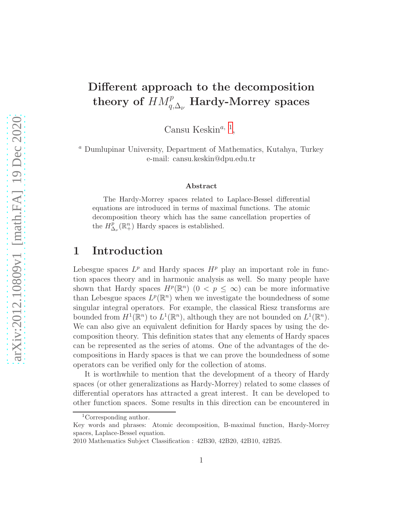## Different approach to the decomposition theory of  $\mathit{HM}_{q,\Delta_\nu}^p\mathbf{\mathrm{Hardy-Morrey}\;spaces}$

Cansu Keskin<sup>a, [1](#page-0-0)</sup>,

<sup>a</sup> Dumlupinar University, Department of Mathematics, Kutahya, Turkey e-mail: cansu.keskin@dpu.edu.tr

#### Abstract

The Hardy-Morrey spaces related to Laplace-Bessel differential equations are introduced in terms of maximal functions. The atomic decomposition theory which has the same cancellation properties of the  $H^p_{\Lambda}$  $_{\Delta_{\nu}}^{p}(\mathbb{R}^{n}_{+})$  Hardy spaces is established.

### 1 Introduction

Lebesgue spaces  $L^p$  and Hardy spaces  $H^p$  play an important role in function spaces theory and in harmonic analysis as well. So many people have shown that Hardy spaces  $H^p(\mathbb{R}^n)$   $(0 < p \leq \infty)$  can be more informative than Lebesgue spaces  $L^p(\mathbb{R}^n)$  when we investigate the boundedness of some singular integral operators. For example, the classical Riesz transforms are bounded from  $H^1(\mathbb{R}^n)$  to  $L^1(\mathbb{R}^n)$ , although they are not bounded on  $L^1(\mathbb{R}^n)$ . We can also give an equivalent definition for Hardy spaces by using the decomposition theory. This definition states that any elements of Hardy spaces can be represented as the series of atoms. One of the advantages of the decompositions in Hardy spaces is that we can prove the boundedness of some operators can be verified only for the collection of atoms.

It is worthwhile to mention that the development of a theory of Hardy spaces (or other generalizations as Hardy-Morrey) related to some classes of differential operators has attracted a great interest. It can be developed to other function spaces. Some results in this direction can be encountered in

<span id="page-0-0"></span><sup>1</sup>Corresponding author.

Key words and phrases: Atomic decomposition, B-maximal function, Hardy-Morrey spaces, Laplace-Bessel equation.

<sup>2010</sup> Mathematics Subject Classification : 42B30, 42B20, 42B10, 42B25.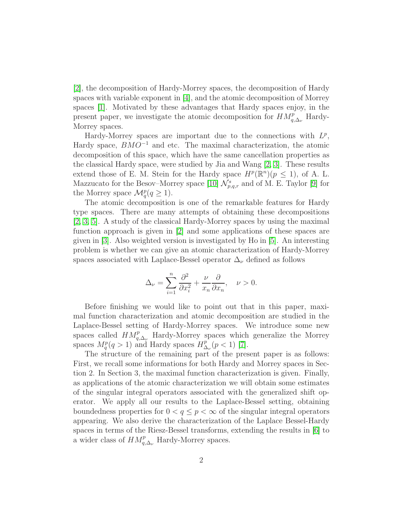[\[2\]](#page-15-0), the decomposition of Hardy-Morrey spaces, the decomposition of Hardy spaces with variable exponent in [\[4\]](#page-15-1), and the atomic decomposition of Morrey spaces [\[1\]](#page-15-2). Motivated by these advantages that Hardy spaces enjoy, in the present paper, we investigate the atomic decomposition for  $HM_{q,\Delta_{\nu}}^p$  Hardy-Morrey spaces.

Hardy-Morrey spaces are important due to the connections with  $L^p$ , Hardy space,  $BMO^{-1}$  and etc. The maximal characterization, the atomic decomposition of this space, which have the same cancellation properties as the classical Hardy space, were studied by Jia and Wang [\[2,](#page-15-0) [3\]](#page-15-3). These results extend those of E. M. Stein for the Hardy space  $H^p(\mathbb{R}^n)(p \leq 1)$ , of A. L. Mazzucato for the Besov–Morrey space [\[10\]](#page-16-0)  $\mathcal{N}_{p,q,r}^{s}$  and of M. E. Taylor [\[9\]](#page-15-4) for the Morrey space  $\mathcal{M}_q^p(q \geq 1)$ .

The atomic decomposition is one of the remarkable features for Hardy type spaces. There are many attempts of obtaining these decompositions [\[2,](#page-15-0) [3,](#page-15-3) [5\]](#page-15-5). A study of the classical Hardy-Morrey spaces by using the maximal function approach is given in [\[2\]](#page-15-0) and some applications of these spaces are given in [\[3\]](#page-15-3). Also weighted version is investigated by Ho in [\[5\]](#page-15-5). An interesting problem is whether we can give an atomic characterization of Hardy-Morrey spaces associated with Laplace-Bessel operator  $\Delta_{\nu}$  defined as follows

$$
\Delta_{\nu} = \sum_{i=1}^{n} \frac{\partial^2}{\partial x_i^2} + \frac{\nu}{x_n} \frac{\partial}{\partial x_n}, \quad \nu > 0.
$$

Before finishing we would like to point out that in this paper, maximal function characterization and atomic decomposition are studied in the Laplace-Bessel setting of Hardy-Morrey spaces. We introduce some new spaces called  $HM_{q,\Delta_{\nu}}^p$  Hardy-Morrey spaces which generalize the Morrey spaces  $M_q^p(q>1)$  and Hardy spaces  $H_\Delta^p$  $_{\Delta_{\nu}}^{p}(p<1)$  [\[7\]](#page-15-6).

The structure of the remaining part of the present paper is as follows: First, we recall some informations for both Hardy and Morrey spaces in Section 2. In Section 3, the maximal function characterization is given. Finally, as applications of the atomic characterization we will obtain some estimates of the singular integral operators associated with the generalized shift operator. We apply all our results to the Laplace-Bessel setting, obtaining boundedness properties for  $0 < q \leq p < \infty$  of the singular integral operators appearing. We also derive the characterization of the Laplace Bessel-Hardy spaces in terms of the Riesz-Bessel transforms, extending the results in [\[6\]](#page-15-7) to a wider class of  $HM_{q,\Delta_{\nu}}^p$  Hardy-Morrey spaces.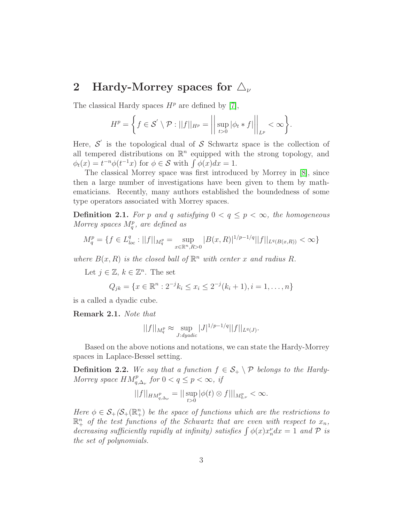### 2 Hardy-Morrey spaces for  $\Delta_{\nu}$

The classical Hardy spaces  $H^p$  are defined by [\[7\]](#page-15-6),

$$
H^{p} = \left\{ f \in \mathcal{S}' \setminus \mathcal{P} : ||f||_{H^{p}} = \left\| \sup_{t>0} |\phi_{t}*f| \right\|_{L^{p}} < \infty \right\}.
$$

Here,  $\mathcal{S}'$  is the topological dual of  $\mathcal{S}$  Schwartz space is the collection of all tempered distributions on  $\mathbb{R}^n$  equipped with the strong topology, and  $\phi_t(x) = t^{-n} \phi(t^{-1}x)$  for  $\phi \in \mathcal{S}$  with  $\int \phi(x) dx = 1$ .

The classical Morrey space was first introduced by Morrey in [\[8\]](#page-15-8), since then a large number of investigations have been given to them by mathematicians. Recently, many authors established the boundedness of some type operators associated with Morrey spaces.

**Definition 2.1.** For p and q satisfying  $0 < q \leq p < \infty$ , the homogeneous Morrey spaces  $M_q^p$ , are defined as

$$
M_q^p = \{ f \in L_{loc}^q : ||f||_{M_q^p} = \sup_{x \in \mathbb{R}^n, R > 0} |B(x, R)|^{1/p - 1/q} ||f||_{L^q(B(x, R))} < \infty \}
$$

where  $B(x, R)$  is the closed ball of  $\mathbb{R}^n$  with center x and radius R.

Let  $j \in \mathbb{Z}, k \in \mathbb{Z}^n$ . The set

$$
Q_{jk} = \{x \in \mathbb{R}^n : 2^{-j}k_i \le x_i \le 2^{-j}(k_i + 1), i = 1, ..., n\}
$$

is a called a dyadic cube.

Remark 2.1. Note that

$$
||f||_{M_q^p} \approx \sup_{J: dyadic} |J|^{1/p-1/q} ||f||_{L^q(J)}.
$$

Based on the above notions and notations, we can state the Hardy-Morrey spaces in Laplace-Bessel setting.

**Definition 2.2.** We say that a function  $f \in S_+ \setminus \mathcal{P}$  belongs to the Hardy-Morrey space  $HM_{q,\Delta_{\nu}}^p$  for  $0 < q \leq p < \infty$ , if

$$
||f||_{HM_{q,\Delta_{\nu}}^p} = ||\sup_{t>0} |\phi(t) \otimes f|||_{M_{q,\nu}^p} < \infty.
$$

Here  $\phi \in \mathcal{S}_+(\mathcal{S}_+(\mathbb{R}^n_+)$  be the space of functions which are the restrictions to  $\mathbb{R}^n_+$  of the test functions of the Schwartz that are even with respect to  $x_n$ , decreasing sufficiently rapidly at infinity) satisfies  $\int \phi(x) x_n^{\nu} dx = 1$  and  $\mathcal{P}$  is the set of polynomials.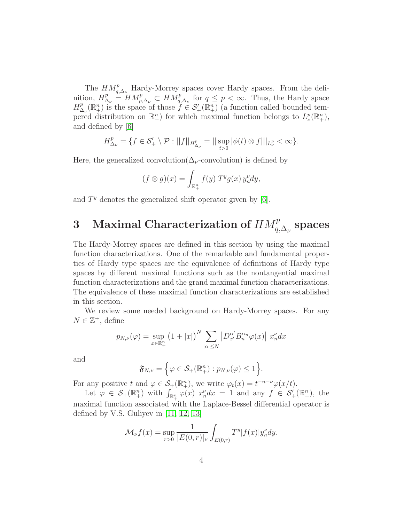The  $HM_{q,\Delta_{\nu}}^p$  Hardy-Morrey spaces cover Hardy spaces. From the definition,  $H_{\Delta_{\nu}}^p = H M_{p,\Delta_{\nu}}^p \subset H M_{q,\Delta_{\nu}}^p$  for  $q \leq p < \infty$ . Thus, the Hardy space  $H^p_\Delta$  $\mathcal{L}_{\lambda_{\nu}}^{p}(\mathbb{R}_{+}^{n})$  is the space of those  $\mathcal{L}_{+}^{p}(\mathbb{R}_{+}^{n})$  (a function called bounded tempered distribution on  $\mathbb{R}^n_+$ ) for which maximal function belongs to  $L^p_{\nu}(\mathbb{R}^n_+),$ and defined by [\[6\]](#page-15-7)

$$
H^p_{\Delta_{\nu}} = \{ f \in \mathcal{S}'_+ \setminus \mathcal{P} : ||f||_{H^p_{\Delta_{\nu}}} = ||\sup_{t>0} |\phi(t) \otimes f|||_{L^p_{\nu}} < \infty \}.
$$

Here, the generalized convolution( $\Delta_{\nu}$ -convolution) is defined by

$$
(f \otimes g)(x) = \int_{\mathbb{R}^n_+} f(y) T^y g(x) y_n^{\nu} dy,
$$

and  $T<sup>y</sup>$  denotes the generalized shift operator given by [\[6\]](#page-15-7).

# 3 Maximal Characterization of  $HM^{p}_{q,\Delta_{\nu}}$  spaces

The Hardy-Morrey spaces are defined in this section by using the maximal function characterizations. One of the remarkable and fundamental properties of Hardy type spaces are the equivalence of definitions of Hardy type spaces by different maximal functions such as the nontangential maximal function characterizations and the grand maximal function characterizations. The equivalence of these maximal function characterizations are established in this section.

We review some needed background on Hardy-Morrey spaces. For any  $N \in \mathbb{Z}^+$ , define

$$
p_{N,\nu}(\varphi) = \sup_{x \in \mathbb{R}^n_+} \left(1 + |x|\right)^N \sum_{|\alpha| \le N} \left|D_{x'}^{\alpha'} B_n^{\alpha_n} \varphi(x)\right| x_n^{\nu} dx
$$

and

$$
\mathfrak{F}_{N,\nu} = \left\{ \varphi \in \mathcal{S}_+(\mathbb{R}^n_+) : p_{N,\nu}(\varphi) \leq 1 \right\}.
$$

For any positive t and  $\varphi \in \mathcal{S}_+(\mathbb{R}^n_+)$ , we write  $\varphi_t(x) = t^{-n-\nu} \varphi(x/t)$ .

Let  $\varphi \in \mathcal{S}_+(\mathbb{R}^n_+)$  with  $\int_{\mathbb{R}^n_+} \varphi(x) x_n^{\nu} dx = 1$  and any  $f \in \mathcal{S}'_+(\mathbb{R}^n_+)$ , the maximal function associated with the Laplace-Bessel differential operator is defined by V.S. Guliyev in [\[11,](#page-16-1) [12,](#page-16-2) [13\]](#page-16-3)

$$
\mathcal{M}_{\nu}f(x) = \sup_{r>0} \frac{1}{|E(0,r)|_{\nu}} \int_{E(0,r)} T^{y} |f(x)| y_n^{\nu} dy.
$$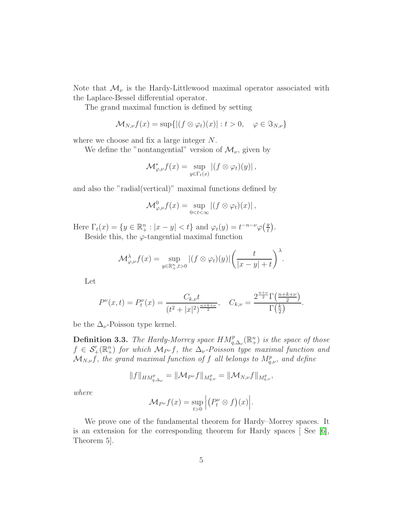Note that  $\mathcal{M}_{\nu}$  is the Hardy-Littlewood maximal operator associated with the Laplace-Bessel differential operator.

The grand maximal function is defined by setting

$$
\mathcal{M}_{N,\nu}f(x) = \sup\{|(f \otimes \varphi_t)(x)| : t > 0, \quad \varphi \in \Im_{N,\nu}\}\
$$

where we choose and fix a large integer N.

We define the "nontangential" version of  $\mathcal{M}_{\nu}$ , given by

$$
\mathcal{M}_{\varphi,\nu}^* f(x) = \sup_{y \in \Gamma_t(x)} |(f \otimes \varphi_t)(y)|,
$$

and also the "radial(vertical)" maximal functions defined by

$$
\mathcal{M}^0_{\varphi,\nu}f(x) = \sup_{0 < t < \infty} \left| (f \otimes \varphi_t)(x) \right|,
$$

Here  $\Gamma_t(x) = \{ y \in \mathbb{R}^n_+ : |x - y| < t \}$  and  $\varphi_t(y) = t^{-n-\nu} \varphi(\frac{y}{t})$  $\frac{y}{t}$ .

Beside this, the  $\varphi$ -tangential maximal function

$$
\mathcal{M}_{\varphi,\nu}^{\lambda} f(x) = \sup_{y \in \mathbb{R}_+^n, t > 0} |(f \otimes \varphi_t)(y)| \left( \frac{t}{|x - y| + t} \right)^{\lambda}.
$$

Let

$$
P^{\nu}(x,t) = P_t^{\nu}(x) = \frac{C_{k,\nu}t}{(t^2 + |x|^2)^{\frac{n+k+\nu}{2}}}, \quad C_{k,\nu} = \frac{2^{\frac{n+\nu}{2}}\Gamma(\frac{n+k+\nu}{2})}{\Gamma(\frac{k}{2})}.
$$

be the  $\Delta_{\nu}$ -Poisson type kernel.

**Definition 3.3.** The Hardy-Morrey space  $HM^{p}_{q,\Delta_{\nu}}(\mathbb{R}^{n}_{+})$  is the space of those  $f \in \mathcal{S}'_{+}(\mathbb{R}^{n}_{+})$  for which  $\mathcal{M}_{P}$  f, the  $\Delta_{\nu}$ -Poisson type maximal function and  $\mathcal{M}_{N,\nu}f$ , the grand maximal function of f all belongs to  $M_{q,\nu}^p$ , and define

$$
||f||_{HM_{q,\Delta_{\nu}}^p} = ||\mathcal{M}_{P^{\nu}}f||_{M_{q,\nu}^p} = ||\mathcal{M}_{N,\nu}f||_{M_{q,\nu}^p},
$$

where

$$
\mathcal{M}_{P^{\nu}}f(x) = \sup_{t>0} \Big| (P_t^{\nu} \otimes f)(x) \Big|.
$$

We prove one of the fundamental theorem for Hardy–Morrey spaces. It is an extension for the corresponding theorem for Hardy spaces [ See [\[6\]](#page-15-7), Theorem 5].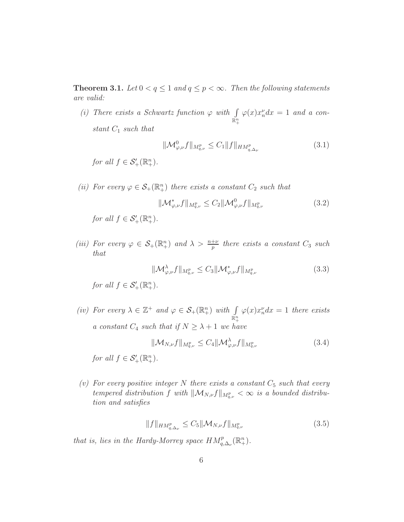**Theorem 3.1.** Let  $0 < q \leq 1$  and  $q \leq p < \infty$ . Then the following statements are valid:

(i) There exists a Schwartz function  $\varphi$  with  $\int$  $\mathbb{R}^n_+$  $\varphi(x)x_n^{\nu}dx = 1$  and a constant  $C_1$  such that

<span id="page-5-2"></span><span id="page-5-1"></span>
$$
\|\mathcal{M}^0_{\varphi,\nu}f\|_{M^p_{q,\nu}} \le C_1 \|f\|_{HM^p_{q,\Delta\nu}} \tag{3.1}
$$

for all  $f \in \mathcal{S}'_+(\mathbb{R}^n_+).$ 

(ii) For every  $\varphi \in \mathcal{S}_+(\mathbb{R}^n_+)$  there exists a constant  $C_2$  such that

$$
\|\mathcal{M}_{\varphi,\nu}^* f\|_{M_{q,\nu}^p} \le C_2 \|\mathcal{M}_{\varphi,\nu}^0 f\|_{M_{q,\nu}^p}
$$
\n(3.2)

for all  $f \in \mathcal{S}'_+(\mathbb{R}^n_+).$ 

(iii) For every  $\varphi \in \mathcal{S}_+(\mathbb{R}^n_+)$  and  $\lambda > \frac{n+\nu}{p}$  there exists a constant  $C_3$  such that

<span id="page-5-3"></span>
$$
\|\mathcal{M}^{\lambda}_{\varphi,\nu}f\|_{M^p_{q,\nu}} \le C_3 \|\mathcal{M}^*_{\varphi,\nu}f\|_{M^p_{q,\nu}}
$$
\n(3.3)

for all  $f \in \mathcal{S}'_+(\mathbb{R}^n_+).$ 

(iv) For every  $\lambda \in \mathbb{Z}^+$  and  $\varphi \in \mathcal{S}_+(\mathbb{R}^n_+)$  with  $\int\limits_{\mathbb{R}^n_+}$  $\varphi(x)x_n^{\nu}dx = 1$  there exists a constant  $C_4$  such that if  $N \geq \lambda + 1$  we have

<span id="page-5-4"></span>
$$
\|\mathcal{M}_{N,\nu}f\|_{M_{q,\nu}^p} \le C_4 \|\mathcal{M}_{\varphi,\nu}^{\lambda}f\|_{M_{q,\nu}^p}
$$
\n(3.4)

for all  $f \in \mathcal{S}'_+(\mathbb{R}^n_+).$ 

(v) For every positive integer N there exists a constant  $C_5$  such that every tempered distribution f with  $\|\mathcal{M}_{N,\nu}f\|_{M_{q,\nu}^p} < \infty$  is a bounded distribution and satisfies

<span id="page-5-0"></span>
$$
||f||_{HM_{q,\Delta_{\nu}}^p} \le C_5 ||\mathcal{M}_{N,\nu}f||_{M_{q,\nu}^p}
$$
\n(3.5)

that is, lies in the Hardy-Morrey space  $HM_{q,\Delta_{\nu}}^p(\mathbb{R}^n_+).$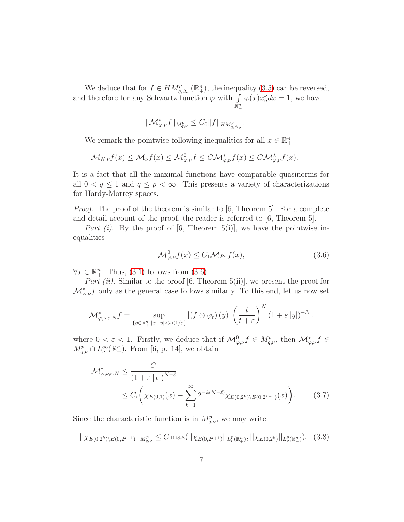We deduce that for  $f \in HM^{p}_{q,\Delta_{\nu}}(\mathbb{R}^{n}_{+})$ , the inequality  $(3.5)$  can be reversed, and therefore for any Schwartz function  $\varphi$  with  $\int$  $\mathbb{R}^n_+$  $\varphi(x)x_n^{\nu}dx = 1$ , we have

$$
\|\mathcal M^*_{\varphi,\nu}f\|_{M^p_{q,\nu}}\leq C_6\|f\|_{HM^p_{q,\Delta_{\nu}}}.
$$

We remark the pointwise following inequalities for all  $x \in \mathbb{R}^n_+$ 

$$
\mathcal{M}_{N,\nu}f(x) \leq \mathcal{M}_{\nu}f(x) \leq \mathcal{M}_{\varphi,\nu}^{0}f \leq C\mathcal{M}_{\varphi,\nu}^{*}f(x) \leq C\mathcal{M}_{\varphi,\nu}^{\lambda}f(x).
$$

It is a fact that all the maximal functions have comparable quasinorms for all  $0 < q \leq 1$  and  $q \leq p < \infty$ . This presents a variety of characterizations for Hardy-Morrey spaces.

*Proof.* The proof of the theorem is similar to [6, Theorem 5]. For a complete and detail account of the proof, the reader is referred to [6, Theorem 5].

Part (i). By the proof of [6, Theorem 5(i)], we have the pointwise inequalities

<span id="page-6-1"></span><span id="page-6-0"></span>
$$
\mathcal{M}^0_{\varphi,\nu}f(x) \le C_1 \mathcal{M}_{P^{\nu}}f(x),\tag{3.6}
$$

 $\forall x \in \mathbb{R}^n_+$ . Thus, [\(3.1\)](#page-5-1) follows from [\(3.6\)](#page-6-0).

Part (ii). Similar to the proof [6, Theorem 5(ii)], we present the proof for  $\mathcal{M}_{\varphi,\nu}^* f$  only as the general case follows similarly. To this end, let us now set

$$
\mathcal{M}_{\varphi,\nu,\varepsilon,N}^* f = \sup_{\{y \in \mathbb{R}_+^n : |x-y| < t < 1/\varepsilon\}} |(f \otimes \varphi_t)(y)| \left(\frac{t}{t+\varepsilon}\right)^N (1+\varepsilon |y|)^{-N}.
$$

where  $0 < \varepsilon < 1$ . Firstly, we deduce that if  $\mathcal{M}^0_{\varphi,\nu} f \in M^p_{q,\nu}$ , then  $\mathcal{M}^*_{\varphi,\nu} f \in$  $M_{q,\nu}^p \cap L_{\nu}^{\infty}(\mathbb{R}^n_+)$ . From [6, p. 14], we obtain

<span id="page-6-2"></span>
$$
\mathcal{M}_{\varphi,\nu,\varepsilon,N}^* \leq \frac{C}{\left(1+\varepsilon|x|\right)^{N-\ell}}\n\leq C_{\epsilon}\left(\chi_{E(0,1)}(x) + \sum_{k=1}^{\infty} 2^{-k(N-\ell)}\chi_{E(0,2^k)\setminus E(0,2^{k-1})}(x)\right).
$$
\n(3.7)

Since the characteristic function is in  $M_{q,\nu}^p$ , we may write

$$
||\chi_{E(0,2^k)\setminus E(0,2^{k-1})}||_{M_{q,\nu}^p} \le C \max(||\chi_{E(0,2^{k+1})}||_{L^p_\nu(\mathbb{R}^n_+)}, ||\chi_{E(0,2^k)}||_{L^p_\nu(\mathbb{R}^n_+)}).
$$
 (3.8)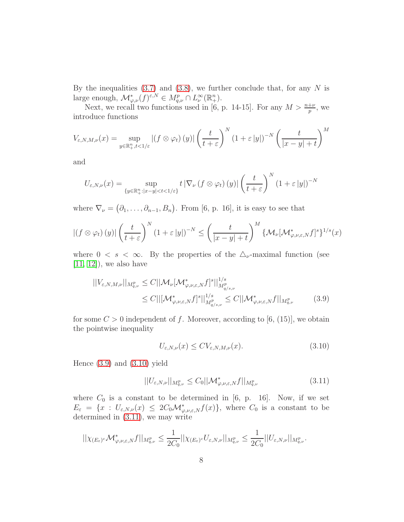By the inequalities  $(3.7)$  and  $(3.8)$ , we further conclude that, for any N is large enough,  $\mathcal{M}_{\varphi,\nu}^*(f)^{\varepsilon,N} \in M_{q,\nu}^p \cap L_{\nu}^{\infty}(\mathbb{R}^n_+).$ 

Next, we recall two functions used in [6, p. 14-15]. For any  $M > \frac{n+\nu}{p}$ , we introduce functions

$$
V_{\varepsilon,N,M,\nu}(x) = \sup_{y \in \mathbb{R}^n_+, t < 1/\varepsilon} |(f \otimes \varphi_t)(y)| \left(\frac{t}{t+\varepsilon}\right)^N (1+\varepsilon |y|)^{-N} \left(\frac{t}{|x-y|+t}\right)^M
$$

and

$$
U_{\varepsilon,N,\nu}(x) = \sup_{\{y \in \mathbb{R}^n_+ : |x-y| < t < 1/\varepsilon\}} t \left| \nabla_{\nu} \left( f \otimes \varphi_t \right)(y) \right| \left( \frac{t}{t+\varepsilon} \right)^N (1+\varepsilon |y|)^{-N}
$$

where  $\nabla_{\nu} = (\partial_1, \ldots, \partial_{n-1}, B_n)$ . From [6, p. 16], it is easy to see that

$$
|(f \otimes \varphi_t)(y)| \left(\frac{t}{t+\varepsilon}\right)^N (1+\varepsilon|y|)^{-N} \leq \left(\frac{t}{|x-y|+t}\right)^M \left\{\mathcal{M}_{\nu}[\mathcal{M}_{\varphi,\nu,\varepsilon,N}^*f]^s\right\}^{1/s}(x)
$$

where  $0 \lt s \lt \infty$ . By the properties of the  $\Delta_{\nu}$ -maximal function (see  $[11, 12]$  $[11, 12]$ , we also have

$$
||V_{\varepsilon,N,M,\nu}||_{M_{q,\nu}^p} \le C||\mathcal{M}_{\nu}[\mathcal{M}_{\varphi,\nu,\varepsilon,N}^*f]^s||_{M_{q/s,\nu}^p}^{1/s}
$$
  
\n
$$
\le C||[\mathcal{M}_{\varphi,\nu,\varepsilon,N}^*f]^s||_{M_{q/s,\nu}^p}^{1/s} \le C||\mathcal{M}_{\varphi,\nu,\varepsilon,N}^*f||_{M_{q,\nu}^p}^{1/s} \qquad (3.9)
$$

for some  $C > 0$  independent of f. Moreover, according to [6, (15)], we obtain the pointwise inequality

<span id="page-7-2"></span><span id="page-7-1"></span><span id="page-7-0"></span>
$$
U_{\varepsilon,N,\nu}(x) \le CV_{\varepsilon,N,M,\nu}(x). \tag{3.10}
$$

Hence [\(3.9\)](#page-7-0) and [\(3.10\)](#page-7-1) yield

$$
||U_{\varepsilon,N,\nu}||_{M_{q,\nu}^p} \le C_0 ||\mathcal{M}_{\varphi,\nu,\varepsilon,N}^* f||_{M_{q,\nu}^p}
$$
\n(3.11)

where  $C_0$  is a constant to be determined in [6, p. 16]. Now, if we set  $E_{\varepsilon} = \{x : U_{\varepsilon,N,\nu}(x) \leq 2C_0 \mathcal{M}_{\varphi,\nu,\varepsilon,N}^* f(x) \},$  where  $C_0$  is a constant to be determined in [\(3.11\)](#page-7-2), we may write

$$
||\chi_{(E_{\varepsilon})} \circ \mathcal{M}_{\varphi,\nu,\varepsilon,N}^* f||_{M_{q,\nu}^p} \leq \frac{1}{2C_0} ||\chi_{(E_{\varepsilon})} \circ U_{\varepsilon,N,\nu}||_{M_{q,\nu}^p} \leq \frac{1}{2C_0} ||U_{\varepsilon,N,\nu}||_{M_{q,\nu}^p}.
$$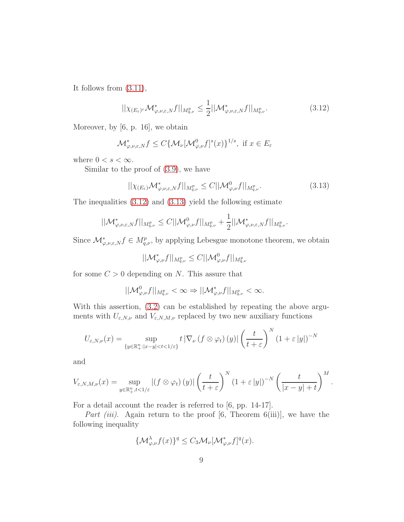It follows from [\(3.11\)](#page-7-2),

<span id="page-8-0"></span>
$$
||\chi_{(E_{\varepsilon})} \mathcal{M}_{\varphi,\nu,\varepsilon,N}^* f||_{M_{q,\nu}^p} \le \frac{1}{2} ||\mathcal{M}_{\varphi,\nu,\varepsilon,N}^* f||_{M_{q,\nu}^p}.
$$
\n(3.12)

Moreover, by [6, p. 16], we obtain

$$
\mathcal{M}_{\varphi,\nu,\varepsilon,N}^*f \le C\{\mathcal{M}_{\nu}[\mathcal{M}_{\varphi,\nu}^0f]^s(x)\}^{1/s}, \text{ if } x \in E_{\varepsilon}
$$

where  $0 < s < \infty$ .

Similar to the proof of [\(3.9\)](#page-7-0), we have

<span id="page-8-1"></span>
$$
||\chi_{(E_{\varepsilon})}\mathcal{M}_{\varphi,\nu,\varepsilon,N}^*f||_{M_{q,\nu}^p} \leq C||\mathcal{M}_{\varphi,\nu}^0f||_{M_{q,\nu}^p}.
$$
\n(3.13)

The inequalities [\(3.12\)](#page-8-0) and [\(3.13\)](#page-8-1) yield the following estimate

$$
||\mathcal M^*_{\varphi,\nu,\varepsilon,N}f||_{M^p_{q,\nu}}\leq C||\mathcal M^0_{\varphi,\nu}f||_{M^p_{q,\nu}}+\frac{1}{2}||\mathcal M^*_{\varphi,\nu,\varepsilon,N}f||_{M^p_{q,\nu}}.
$$

Since  $\mathcal{M}_{\varphi,\nu,\varepsilon,N}^*f \in M_{q,\nu}^p$ , by applying Lebesgue monotone theorem, we obtain

$$
||\mathcal M^*_{\varphi,\nu}f||_{M^p_{q,\nu}}\leq C||\mathcal M^0_{\varphi,\nu}f||_{M^p_{q,\nu}}
$$

for some  $C > 0$  depending on N. This assure that

$$
||\mathcal{M}^0_{\varphi,\nu}f||_{M^p_{q,\nu}} < \infty \Rightarrow ||\mathcal{M}^*_{\varphi,\nu}f||_{M^p_{q,\nu}} < \infty.
$$

With this assertion,  $(3.2)$  can be established by repeating the above arguments with  $U_{\varepsilon,N,\nu}$  and  $V_{\varepsilon,N,M,\nu}$  replaced by two new auxiliary functions

$$
U_{\varepsilon,N,\nu}(x) = \sup_{\{y \in \mathbb{R}^n_+ : |x-y| < t < 1/\varepsilon\}} t \left| \nabla_{\nu} \left( f \otimes \varphi_t \right)(y) \right| \left( \frac{t}{t+\varepsilon} \right)^N \left( 1 + \varepsilon |y| \right)^{-N}
$$

and

$$
V_{\varepsilon,N,M,\nu}(x)=\sup_{y\in\mathbb{R}^n_+,t<1/\varepsilon}|(f\otimes\varphi_t)(y)|\left(\frac{t}{t+\varepsilon}\right)^N(1+\varepsilon|y|)^{-N}\left(\frac{t}{|x-y|+t}\right)^M.
$$

For a detail account the reader is referred to [6, pp. 14-17].

Part (iii). Again return to the proof  $[6,$  Theorem 6(iii)], we have the following inequality

$$
\{\mathcal{M}_{\varphi,\nu}^{\lambda}f(x)\}^{q} \leq C_{3}\mathcal{M}_{\nu}[\mathcal{M}_{\varphi,\nu}^{*}f]^{q}(x).
$$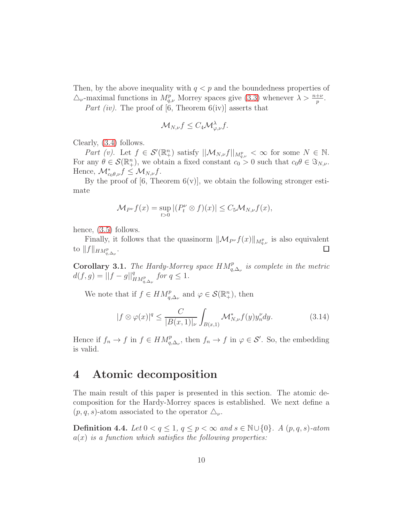Then, by the above inequality with  $q < p$  and the boundedness properties of  $\triangle_{\nu}$ -maximal functions in  $M_{q,\nu}^p$  Morrey spaces give [\(3.3\)](#page-5-3) whenever  $\lambda > \frac{n+\nu}{p}$ .

Part (iv). The proof of [6, Theorem  $6(iv)$ ] asserts that

$$
\mathcal{M}_{N,\nu}f \leq C_4 \mathcal{M}_{\varphi,\nu}^{\lambda}f.
$$

Clearly, [\(3.4\)](#page-5-4) follows.

Part (v). Let  $f \in \mathcal{S}'(\mathbb{R}^n_+)$  satisfy  $||\mathcal{M}_{N,\nu}f||_{M^p_{q,\nu}} < \infty$  for some  $N \in \mathbb{N}$ . For any  $\theta \in \mathcal{S}(\mathbb{R}^n_+)$ , we obtain a fixed constant  $c_0 > 0$  such that  $c_0 \theta \in \Im_{N,\nu}$ . Hence,  $\mathcal{M}_{c_0\theta,\nu}^* f \leq \mathcal{M}_{N,\nu} f$ .

By the proof of  $[6,$  Theorem  $6(v)$ , we obtain the following stronger estimate

$$
\mathcal{M}_{P^{\nu}}f(x) = \sup_{t>0} |(P_t^{\nu} \otimes f)(x)| \leq C_5 \mathcal{M}_{N,\nu}f(x),
$$

hence, [\(3.5\)](#page-5-0) follows.

Finally, it follows that the quasinorm  $\|\mathcal{M}_{P_{\nu}}f(x)\|_{M_{q,\nu}^p}$  is also equivalent to  $||f||_{HM_{q,\Delta_{\nu}}^p}$ .  $\Box$ 

**Corollary 3.1.** The Hardy-Morrey space  $HM_{q,\Delta_{\nu}}^p$  is complete in the metric  $d(f, g) = ||f - g||_{HM^{p}_{q, \Delta_{\nu}}}^{q}$  for  $q \leq 1$ .

We note that if  $f \in HM_{q,\Delta_{\nu}}^p$  and  $\varphi \in \mathcal{S}(\mathbb{R}^n_+)$ , then

<span id="page-9-0"></span>
$$
|f \otimes \varphi(x)|^q \le \frac{C}{|B(x,1)|_\nu} \int_{B(x,1)} \mathcal{M}_{N,\nu}^* f(y) y_n^{\nu} dy. \tag{3.14}
$$

Hence if  $f_n \to f$  in  $f \in HM_{q,\Delta_{\nu}}^p$ , then  $f_n \to f$  in  $\varphi \in \mathcal{S}'$ . So, the embedding is valid.

### 4 Atomic decomposition

The main result of this paper is presented in this section. The atomic decomposition for the Hardy-Morrey spaces is established. We next define a  $(p, q, s)$ -atom associated to the operator  $\triangle_{\nu}$ .

**Definition 4.4.** Let  $0 < q \leq 1$ ,  $q \leq p < \infty$  and  $s \in \mathbb{N} \cup \{0\}$ . A  $(p, q, s)$ -atom  $a(x)$  is a function which satisfies the following properties: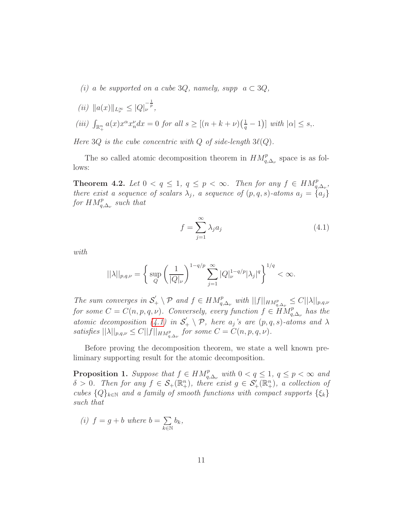- (i) a be supported on a cube 3Q, namely, supp  $a \subset 3Q$ ,
- (*ii*)  $||a(x)||_{L^{\infty}_{\nu}} \leq |Q|_{\nu}^{-\frac{1}{p}},$
- (iii)  $\int_{\mathbb{R}^n_+} a(x) x^{\alpha} x_n^{\nu} dx = 0$  for all  $s \geq [(n+k+\nu)(\frac{1}{q}-1)]$  with  $|\alpha| \leq s$ .

Here  $3Q$  is the cube concentric with  $Q$  of side-length  $3\ell(Q)$ .

The so called atomic decomposition theorem in  $HM_{q,\Delta_{\nu}}^p$  space is as follows:

**Theorem 4.2.** Let  $0 < q \leq 1$ ,  $q \leq p < \infty$ . Then for any  $f \in HM_{q,\Delta_p}^p$ , there exist a sequence of scalars  $\lambda_j$ , a sequence of  $(p, q, s)$ -atoms  $a_j = \{a_j\}$ for  $HM^{p}_{q,\Delta_{\nu}}$  such that

<span id="page-10-0"></span>
$$
f = \sum_{j=1}^{\infty} \lambda_j a_j \tag{4.1}
$$

with

$$
||\lambda||_{p,q,\nu} = \left\{ \sup_{Q} \left( \frac{1}{|Q|_{\nu}} \right)^{1-q/p} \sum_{j=1}^{\infty} |Q|_{\nu}^{1-q/p} |\lambda_j|^q \right\}^{1/q} < \infty.
$$

The sum converges in  $S'_{+}\setminus \mathcal{P}$  and  $f \in HM_{q,\Delta_{\nu}}^p$  with  $||f||_{HM_{q,\Delta_{\nu}}^p} \leq C||\lambda||_{p,q,\nu}$ for some  $C = C(n, p, q, \nu)$ . Conversely, every function  $f \in \widetilde{HM}_{q,\Delta_{\nu}}^p$  has the atomic decomposition [\(4.1\)](#page-10-0) in  $S'_{+} \setminus P$ , here  $a_j$ 's are  $(p, q, s)$ -atoms and  $\lambda$ satisfies  $||\lambda||_{p,q,\nu} \leq C||f||_{HM_{q,\Delta_{\nu}}^p}$  for some  $C = C(n, p, q, \nu)$ .

Before proving the decomposition theorem, we state a well known preliminary supporting result for the atomic decomposition.

<span id="page-10-1"></span>**Proposition 1.** Suppose that  $f \in HM_{q,\Delta_{\nu}}^p$  with  $0 < q \leq 1$ ,  $q \leq p < \infty$  and  $\delta > 0$ . Then for any  $f \in \mathcal{S}_+(\mathbb{R}^n_+)$ , there exist  $g \in \mathcal{S}'_+(\mathbb{R}^n_+)$ , a collection of cubes  ${Q}_{k\in\mathbb{N}}$  and a family of smooth functions with compact supports  $\{\xi_k\}$ such that

(i)  $f = g + b$  where  $b = \sum$  $\overline{k\in\mathbb{N}}$  $b_k,$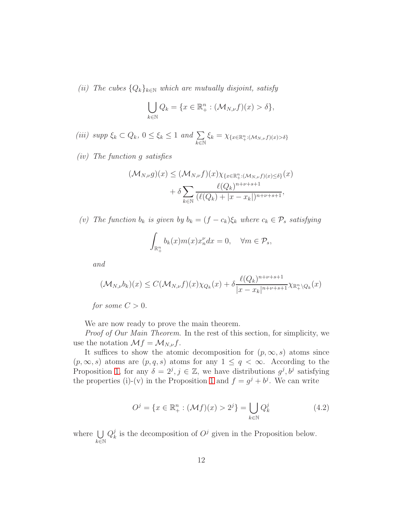(ii) The cubes  $\{Q_k\}_{k\in\mathbb{N}}$  which are mutually disjoint, satisfy

$$
\bigcup_{k \in \mathbb{N}} Q_k = \{ x \in \mathbb{R}^n_+ : (\mathcal{M}_{N,\nu} f)(x) > \delta \},
$$

(iii) supp  $\xi_k \subset Q_k$ ,  $0 \leq \xi_k \leq 1$  and  $\sum$  $\overline{k\in\mathbb{N}}$  $\xi_k = \chi_{\{x \in \mathbb{R}^n_+ : (\mathcal{M}_{N,\nu}f)(x) > \delta\}}$ 

(iv) The function g satisfies

$$
(\mathcal{M}_{N,\nu}g)(x) \leq (\mathcal{M}_{N,\nu}f)(x)\chi_{\{x \in \mathbb{R}_+^n : (\mathcal{M}_{N,\nu}f)(x) \leq \delta\}}(x)
$$

$$
+ \delta \sum_{k \in \mathbb{N}} \frac{\ell(Q_k)^{n+\nu+s+1}}{(\ell(Q_k)+|x-x_k|)^{n+\nu+s+1}},
$$

(v) The function  $b_k$  is given by  $b_k = (f - c_k)\xi_k$  where  $c_k \in \mathcal{P}_s$  satisfying

$$
\int_{\mathbb{R}^n_+} b_k(x) m(x) x_n^{\nu} dx = 0, \quad \forall m \in \mathcal{P}_s,
$$

and

$$
(\mathcal{M}_{N,\nu}b_k)(x) \le C(\mathcal{M}_{N,\nu}f)(x)\chi_{Q_k}(x) + \delta \frac{\ell(Q_k)^{n+\nu+s+1}}{|x-x_k|^{n+\nu+s+1}}\chi_{\mathbb{R}_+^n\setminus Q_k}(x)
$$

for some  $C > 0$ .

We are now ready to prove the main theorem.

Proof of Our Main Theorem. In the rest of this section, for simplicity, we use the notation  $\mathcal{M}f = \mathcal{M}_{N,\nu}f$ .

It suffices to show the atomic decomposition for  $(p, \infty, s)$  atoms since  $(p, \infty, s)$  atoms are  $(p, q, s)$  atoms for any  $1 \leq q < \infty$ . According to the Proposition [1,](#page-10-1) for any  $\delta = 2^j, j \in \mathbb{Z}$ , we have distributions  $g^j, b^j$  satisfying the properties (i)-(v) in the Proposition [1](#page-10-1) and  $f = g^{j} + b^{j}$ . We can write

<span id="page-11-0"></span>
$$
O^j = \{ x \in \mathbb{R}^n_+ : (\mathcal{M}f)(x) > 2^j \} = \bigcup_{k \in \mathbb{N}} Q_k^j \tag{4.2}
$$

where  $\bigcup$  $k\bar{\in}\mathbb{N}$  $Q_k^j$  $\mu_k^j$  is the decomposition of  $O^j$  given in the Proposition below.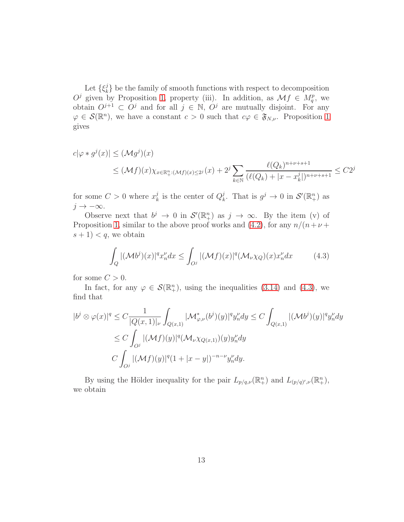Let  $\{\xi_k^j\}$  $\binom{1}{k}$  be the family of smooth functions with respect to decomposition  $O^j$  given by Proposition [1,](#page-10-1) property (iii). In addition, as  $\mathcal{M}f \in M_q^p$ , we obtain  $O^{j+1} \subset O^j$  and for all  $j \in \mathbb{N}$ ,  $O^j$  are mutually disjoint. For any  $\varphi \in \mathcal{S}(\mathbb{R}^n)$ , we have a constant  $c > 0$  such that  $c\varphi \in \mathfrak{F}_{N,\nu}$ . Proposition [1](#page-10-1) gives

$$
c|\varphi * g^{j}(x)| \leq (\mathcal{M}g^{j})(x)
$$
  

$$
\leq (\mathcal{M}f)(x)\chi_{x \in \mathbb{R}_{+}^{n}:(\mathcal{M}f)(x) \leq 2^{j}}(x) + 2^{j} \sum_{k \in \mathbb{N}} \frac{\ell(Q_{k})^{n+\nu+s+1}}{(\ell(Q_{k}) + |x - x_{k}^{j}|)^{n+\nu+s+1}} \leq C2^{j}
$$

for some  $C>0$  where  $x_k^j$  $\frac{j}{k}$  is the center of  $Q_k^j$  $j_k^j$ . That is  $g^j \to 0$  in  $\mathcal{S}'(\mathbb{R}^n_+)$  as  $j \to -\infty$ .

Observe next that  $b^j \to 0$  in  $\mathcal{S}'(\mathbb{R}^n_+)$  as  $j \to \infty$ . By the item (v) of Proposition [1,](#page-10-1) similar to the above proof works and [\(4.2\)](#page-11-0), for any  $n/(n+\nu +$  $s + 1$  < q, we obtain

<span id="page-12-0"></span>
$$
\int_{Q} |(\mathcal{M}b^{j})(x)|^{q} x_{n}^{\nu} dx \le \int_{O^{j}} |(\mathcal{M}f)(x)|^{q} (\mathcal{M}_{\nu} \chi_{Q})(x) x_{n}^{\nu} dx \qquad (4.3)
$$

for some  $C > 0$ .

In fact, for any  $\varphi \in \mathcal{S}(\mathbb{R}^n_+)$ , using the inequalities [\(3.14\)](#page-9-0) and [\(4.3\)](#page-12-0), we find that

$$
|b^j \otimes \varphi(x)|^q \leq C \frac{1}{|Q(x,1)|_\nu} \int_{Q(x,1)} |\mathcal{M}_{\varphi,\nu}^*(b^j)(y)|^q y_n^{\nu} dy \leq C \int_{Q(x,1)} |(\mathcal{M}b^j)(y)|^q y_n^{\nu} dy
$$
  

$$
\leq C \int_{O^j} |(\mathcal{M}f)(y)|^q (\mathcal{M}_{\nu} \chi_{Q(x,1)})(y) y_n^{\nu} dy
$$
  

$$
C \int_{O^j} |(\mathcal{M}f)(y)|^q (1+|x-y|)^{-n-\nu} y_n^{\nu} dy.
$$

By using the Hölder inequality for the pair  $L_{p/q,\nu}(\mathbb{R}^n_+)$  and  $L_{(p/q)',\nu}(\mathbb{R}^n_+)$ , we obtain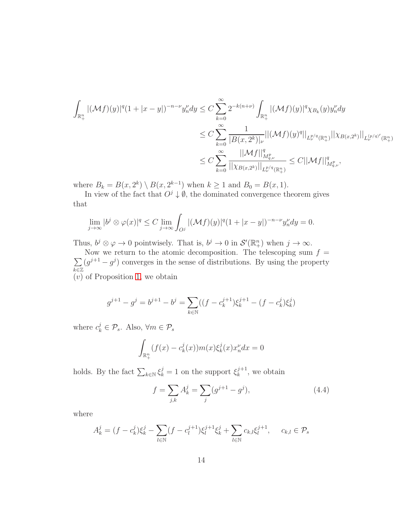$$
\int_{\mathbb{R}^n_+} |(\mathcal{M}f)(y)|^q (1+|x-y|)^{-n-\nu} y_n^{\nu} dy \leq C \sum_{k=0}^{\infty} 2^{-k(n+\nu)} \int_{\mathbb{R}^n_+} |(\mathcal{M}f)(y)|^q \chi_{B_k}(y) y_n^{\nu} dy
$$
  
\n
$$
\leq C \sum_{k=0}^{\infty} \frac{1}{|B(x, 2^k)|_{\nu}} ||(\mathcal{M}f)(y)|^q ||_{L^{p/q}_\nu(\mathbb{R}^n_+)} ||\chi_{B(x, 2^k)}||_{L^{(p/q)}_\nu(\mathbb{R}^n_+)}
$$
  
\n
$$
\leq C \sum_{k=0}^{\infty} \frac{||\mathcal{M}f||_{M^p_{q,\nu}}^q}{||\chi_{B(x, 2^k)}||_{L^{p/q}_\nu(\mathbb{R}^n_+)}} \leq C ||\mathcal{M}f||_{M^p_{q,\nu}}^q,
$$

where  $B_k = B(x, 2^k) \setminus B(x, 2^{k-1})$  when  $k \ge 1$  and  $B_0 = B(x, 1)$ .

In view of the fact that  $O^j \downarrow \emptyset$ , the dominated convergence theorem gives that

$$
\lim_{j \to \infty} |b^j \otimes \varphi(x)|^q \le C \lim_{j \to \infty} \int_{O^j} |(\mathcal{M}f)(y)|^q (1+|x-y|)^{-n-\nu} y_n^{\nu} dy = 0.
$$

Thus,  $b^j \otimes \varphi \to 0$  pointwisely. That is,  $b^j \to 0$  in  $\mathcal{S}'(\mathbb{R}^n_+)$  when  $j \to \infty$ .

 $\sum$ Now we return to the atomic decomposition. The telescoping sum  $f =$  $\overline{k\varepsilon}\mathbb{Z}$  $(g^{j+1}-g^j)$  converges in the sense of distributions. By using the property (v) of Proposition [1,](#page-10-1) we obtain

$$
g^{j+1} - g^j = b^{j+1} - b^j = \sum_{k \in \mathbb{N}} ((f - c_k^{j+1}) \xi_k^{j+1} - (f - c_k^j) \xi_k^j)
$$

where  $c_k^j \in \mathcal{P}_s$ . Also,  $\forall m \in \mathcal{P}_s$ 

$$
\int_{\mathbb{R}_+^n} (f(x) - c_k^j(x)) m(x) \xi_k^j(x) x_n^{\nu} dx = 0
$$

holds. By the fact  $\sum_{k \in \mathbb{N}} \xi_k^j = 1$  on the support  $\xi_k^{j+1}$  $k^{j+1}$ , we obtain

<span id="page-13-0"></span>
$$
f = \sum_{j,k} A_k^j = \sum_j (g^{j+1} - g^j), \tag{4.4}
$$

where

$$
A_k^j = (f - c_k^j)\xi_k^j - \sum_{l \in \mathbb{N}} (f - c_l^{j+1})\xi_l^{j+1}\xi_k^j + \sum_{l \in \mathbb{N}} c_{k,l}\xi_l^{j+1}, \quad c_{k,l} \in \mathcal{P}_s
$$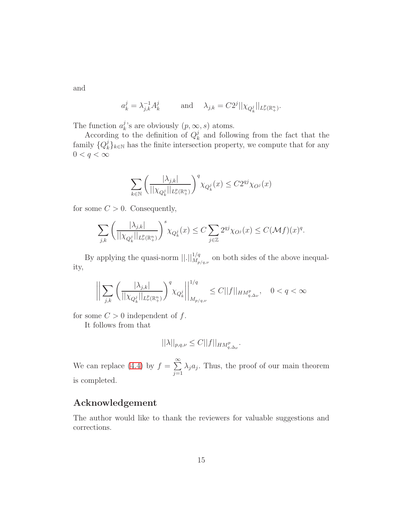and

$$
a_k^j = \lambda_{j,k}^{-1} A_k^j \qquad \text{and} \quad \lambda_{j,k} = C2^j ||\chi_{Q_k^j}||_{L^p_\nu(\mathbb{R}^n_+)}.
$$

The function  $a_k^j$  $_{k}^{\jmath}$ 's are obviously  $(p, \infty, s)$  atoms.

According to the definition of  $Q_k^j$  $\frac{1}{k}$  and following from the fact that the family  $\{Q_k^j\}$  $\{k\}_{k\in\mathbb{N}}$  has the finite intersection property, we compute that for any  $0 < q < \infty$ 

$$
\sum_{k \in \mathbb{N}} \left( \frac{|\lambda_{j,k}|}{||\chi_{Q_k^j}||_{L^p_\nu(\mathbb{R}^n_+)}} \right)^q \chi_{Q_k^j}(x) \le C 2^{qj} \chi_{O^j}(x)
$$

for some  $C > 0$ . Consequently,

$$
\sum_{j,k} \left( \frac{|\lambda_{j,k}|}{||\chi_{Q_k^j}||_{L^p_\nu(\mathbb{R}^n_+)}} \right)^s \chi_{Q_k^j}(x) \le C \sum_{j \in \mathbb{Z}} 2^{qj} \chi_{O^j}(x) \le C(\mathcal{M}f)(x)^q.
$$

By applying the quasi-norm  $\left|\right| \cdot \left|\right|_{M_{p/q,\nu}}^{1/q}$  on both sides of the above inequality,

$$
\left\| \sum_{j,k} \left( \frac{|\lambda_{j,k}|}{||\chi_{Q_k^j}||_{L^p_\nu(\mathbb{R}^n_+)}} \right)^q \chi_{Q_k^j} \right\|_{M_{p/q,\nu}}^{1/q} \le C ||f||_{HM_{q,\Delta_\nu}^p}, \quad 0 < q < \infty
$$

for some  $C > 0$  independent of f.

It follows from that

$$
||\lambda||_{p,q,\nu} \leq C||f||_{HM_{q,\Delta_{\nu}}^p}.
$$

We can replace [\(4.4\)](#page-13-0) by  $f = \sum_{n=1}^{\infty}$  $j=1$  $\lambda_j a_j$ . Thus, the proof of our main theorem is completed.

### Acknowledgement

The author would like to thank the reviewers for valuable suggestions and corrections.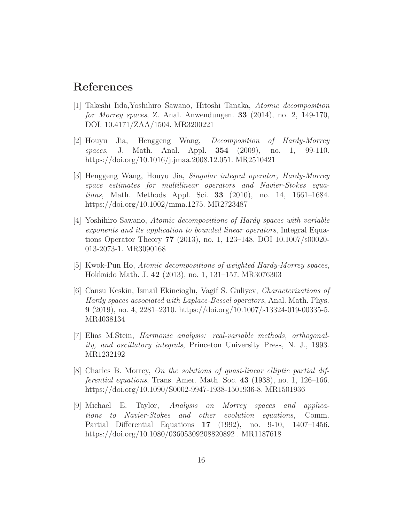### <span id="page-15-2"></span>References

- [1] Takeshi Iida,Yoshihiro Sawano, Hitoshi Tanaka, Atomic decomposition for Morrey spaces, Z. Anal. Anwendungen. 33 (2014), no. 2, 149-170, DOI: 10.4171/ZAA/1504. MR3200221
- <span id="page-15-0"></span>[2] Houyu Jia, Henggeng Wang, Decomposition of Hardy-Morrey spaces, J. Math. Anal. Appl. **354** (2009), no. 1, 99-110. https://doi.org/10.1016/j.jmaa.2008.12.051. MR2510421
- <span id="page-15-3"></span>[3] Henggeng Wang, Houyu Jia, Singular integral operator, Hardy-Morrey space estimates for multilinear operators and Navier-Stokes equations, Math. Methods Appl. Sci. 33 (2010), no. 14, 1661–1684. https://doi.org/10.1002/mma.1275. MR2723487
- <span id="page-15-1"></span>[4] Yoshihiro Sawano, Atomic decompositions of Hardy spaces with variable exponents and its application to bounded linear operators, Integral Equations Operator Theory 77 (2013), no. 1, 123–148. DOI 10.1007/s00020- 013-2073-1. MR3090168
- <span id="page-15-7"></span><span id="page-15-5"></span>[5] Kwok-Pun Ho, Atomic decompositions of weighted Hardy-Morrey spaces, Hokkaido Math. J. 42 (2013), no. 1, 131–157. MR3076303
- [6] Cansu Keskin, Ismail Ekincioglu, Vagif S. Guliyev, Characterizations of Hardy spaces associated with Laplace-Bessel operators, Anal. Math. Phys. 9 (2019), no. 4, 2281–2310. https://doi.org/10.1007/s13324-019-00335-5. MR4038134
- <span id="page-15-6"></span>[7] Elias M.Stein, Harmonic analysis: real-variable methods, orthogonality, and oscillatory integrals, Princeton University Press, N. J., 1993. MR1232192
- <span id="page-15-8"></span>[8] Charles B. Morrey, On the solutions of quasi-linear elliptic partial differential equations, Trans. Amer. Math. Soc. 43 (1938), no. 1, 126–166. https://doi.org/10.1090/S0002-9947-1938-1501936-8. MR1501936
- <span id="page-15-4"></span>[9] Michael E. Taylor, Analysis on Morrey spaces and applications to Navier-Stokes and other evolution equations, Comm. Partial Differential Equations 17 (1992), no. 9-10, 1407–1456. https://doi.org/10.1080/03605309208820892 . MR1187618